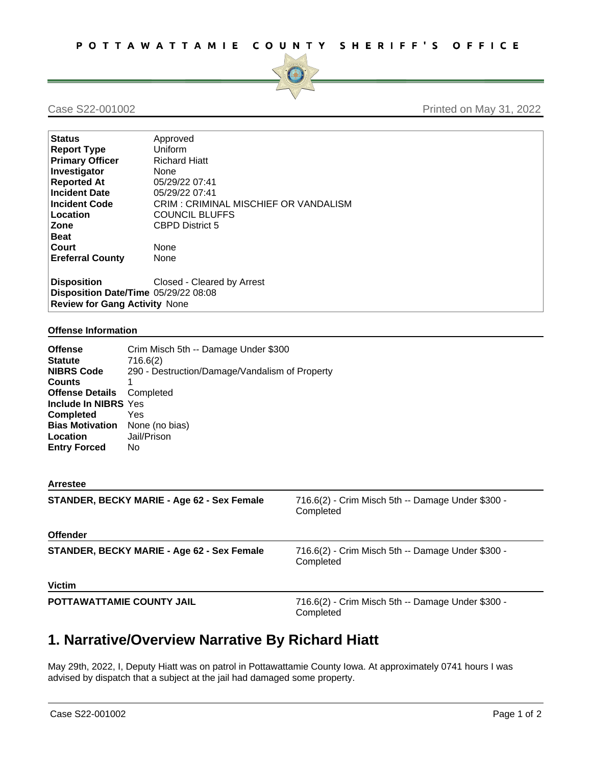

## Case S22-001002 **Printed on May 31, 2022**

| <b>Status</b>                        | Approved                             |  |
|--------------------------------------|--------------------------------------|--|
| <b>Report Type</b>                   | Uniform                              |  |
| <b>Primary Officer</b>               | <b>Richard Hiatt</b>                 |  |
| Investigator                         | None                                 |  |
| <b>Reported At</b>                   | 05/29/22 07:41                       |  |
| <b>Incident Date</b>                 | 05/29/22 07:41                       |  |
| <b>Incident Code</b>                 | CRIM: CRIMINAL MISCHIEF OR VANDALISM |  |
| Location                             | <b>COUNCIL BLUFFS</b>                |  |
| Zone                                 | <b>CBPD District 5</b>               |  |
| <b>Beat</b>                          |                                      |  |
| Court                                | None                                 |  |
| <b>Ereferral County</b>              | None                                 |  |
| <b>Disposition</b>                   | Closed - Cleared by Arrest           |  |
|                                      |                                      |  |
| Disposition Date/Time 05/29/22 08:08 |                                      |  |
| <b>Review for Gang Activity None</b> |                                      |  |

## **Offense Information**

| <b>Offense</b><br><b>Statute</b><br><b>NIBRS Code</b><br><b>Counts</b><br><b>Offense Details</b><br>Include In NIBRS Yes<br><b>Completed</b><br><b>Bias Motivation</b><br>Location<br><b>Entry Forced</b> | Crim Misch 5th -- Damage Under \$300<br>716.6(2)<br>290 - Destruction/Damage/Vandalism of Property<br>1<br>Completed<br>Yes<br>None (no bias)<br>Jail/Prison<br>No. |                                                                |
|-----------------------------------------------------------------------------------------------------------------------------------------------------------------------------------------------------------|---------------------------------------------------------------------------------------------------------------------------------------------------------------------|----------------------------------------------------------------|
| <b>Arrestee</b>                                                                                                                                                                                           |                                                                                                                                                                     |                                                                |
|                                                                                                                                                                                                           | STANDER, BECKY MARIE - Age 62 - Sex Female                                                                                                                          | 716.6(2) - Crim Misch 5th -- Damage Under \$300 -<br>Completed |
| <b>Offender</b>                                                                                                                                                                                           |                                                                                                                                                                     |                                                                |
| STANDER, BECKY MARIE - Age 62 - Sex Female                                                                                                                                                                |                                                                                                                                                                     | 716.6(2) - Crim Misch 5th -- Damage Under \$300 -<br>Completed |
| <b>Victim</b>                                                                                                                                                                                             |                                                                                                                                                                     |                                                                |
| POTTAWATTAMIE COUNTY JAIL                                                                                                                                                                                 |                                                                                                                                                                     | 716.6(2) - Crim Misch 5th -- Damage Under \$300 -<br>Completed |

## **1. Narrative/Overview Narrative By Richard Hiatt**

May 29th, 2022, I, Deputy Hiatt was on patrol in Pottawattamie County Iowa. At approximately 0741 hours I was advised by dispatch that a subject at the jail had damaged some property.